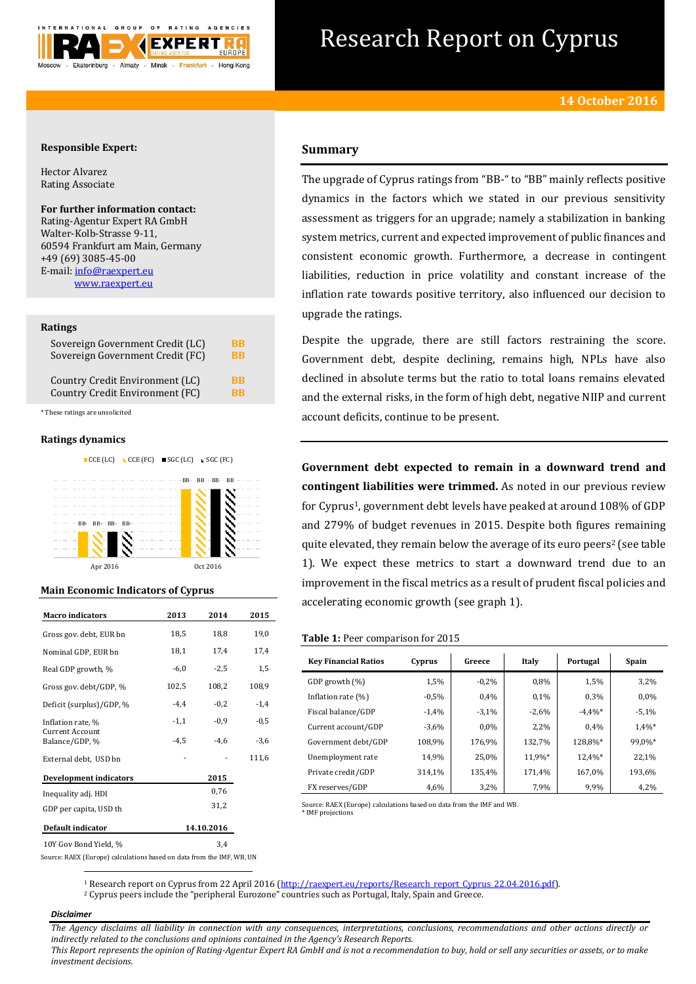

# Research Report on Cyprus

### **Responsible Expert:**

Hector Alvarez Rating Associate

# **For further information contact:**

Rating-Agentur Expert RA GmbH Walter-Kolb-Strasse 9-11, 60594 Frankfurt am Main, Germany +49 (69) 3085-45-00 E-mail[: info@raexpert.eu](mailto:info@raexpert.eu) [www.raexpert.eu](http://raexpert.eu/)

#### **Ratings**

| Sovereign Government Credit (LC) | <b>BB</b> |
|----------------------------------|-----------|
| Sovereign Government Credit (FC) | <b>BB</b> |
| Country Credit Environment (LC)  | <b>BB</b> |
| Country Credit Environment (FC)  | <b>RR</b> |

\* These ratings are unsolicited

#### **Ratings dynamics**





## **Main Economic Indicators of Cyprus**

| <b>Macro indicators</b>                  | 2013   | 2014       | 2015   |  |  |
|------------------------------------------|--------|------------|--------|--|--|
| Gross gov. debt, EUR bn                  | 18,5   | 18,8       | 19,0   |  |  |
| Nominal GDP, EUR bn                      | 18,1   | 17,4       | 17,4   |  |  |
| Real GDP growth, %                       | $-6,0$ | $-2,5$     | 1,5    |  |  |
| Gross gov. debt/GDP, %                   | 102,5  | 108,2      | 108,9  |  |  |
| Deficit (surplus)/GDP, %                 | $-4,4$ | $-0,2$     | $-1,4$ |  |  |
| Inflation rate, %                        | $-1,1$ | $-0.9$     | $-0.5$ |  |  |
| <b>Current Account</b><br>Balance/GDP, % | $-4,5$ | $-4,6$     | $-3,6$ |  |  |
| External debt, USD bn                    |        |            | 111,6  |  |  |
| <b>Development indicators</b>            |        | 2015       |        |  |  |
| Inequality adj. HDI                      |        | 0,76       |        |  |  |
| GDP per capita, USD th                   |        | 31,2       |        |  |  |
| Default indicator                        |        | 14.10.2016 |        |  |  |
| 10Y Gov Bond Yield, %                    |        | 3,4        |        |  |  |

## **Summary**

The upgrade of Cyprus ratings from "BB-" to "BB" mainly reflects positive dynamics in the factors which we stated in our previous sensitivity assessment as triggers for an upgrade; namely a stabilization in banking system metrics, current and expected improvement of public finances and consistent economic growth. Furthermore, a decrease in contingent liabilities, reduction in price volatility and constant increase of the inflation rate towards positive territory, also influenced our decision to upgrade the ratings.

Despite the upgrade, there are still factors restraining the score. Government debt, despite declining, remains high, NPLs have also declined in absolute terms but the ratio to total loans remains elevated and the external risks, in the form of high debt, negative NIIP and current account deficits, continue to be present.

**Government debt expected to remain in a downward trend and contingent liabilities were trimmed.** As noted in our previous review for Cyprus<sup>1</sup>, government debt levels have peaked at around 108% of GDP and 279% of budget revenues in 2015. Despite both figures remaining quite elevated, they remain below the average of its euro peers<sup>2</sup> (see table 1). We expect these metrics to start a downward trend due to an improvement in the fiscal metrics as a result of prudent fiscal policies and accelerating economic growth (see graph 1).

#### **Table 1:** Peer comparison for 2015

| <b>Key Financial Ratios</b> | Cyprus  | Greece  | Italy   | Portugal   | Spain   |
|-----------------------------|---------|---------|---------|------------|---------|
|                             |         |         |         |            |         |
| GDP growth (%)              | 1,5%    | $-0.2%$ | 0.8%    | 1,5%       | 3,2%    |
| Inflation rate $(\%)$       | $-0.5%$ | 0.4%    | 0.1%    | 0.3%       | 0.0%    |
| Fiscal balance/GDP          | $-1,4%$ | $-3,1%$ | $-2,6%$ | $-4.4\%$ * | $-5,1%$ |
| Current account/GDP         | $-3,6%$ | 0.0%    | 2,2%    | 0.4%       | 1,4%*   |
| Government debt/GDP         | 108.9%  | 176,9%  | 132,7%  | 128,8%*    | 99,0%*  |
| Unemployment rate           | 14,9%   | 25,0%   | 11,9%*  | 12,4%*     | 22,1%   |
| Private credit/GDP          | 314,1%  | 135,4%  | 171.4%  | 167,0%     | 193.6%  |
| FX reserves/GDP             | 4,6%    | 3,2%    | 7,9%    | 9,9%       | 4,2%    |

Source: RAEX (Europe) calculations based on data from the IMF and WB. \* IMF projections

Source: RAEX (Europe) calculations based on data from the IMF, WB, UN  $\overline{a}$ 

<sup>1</sup> Research report on Cyprus from 22 April 2016 [\(http://raexpert.eu/reports/Research\\_report\\_Cyprus\\_22.04.2016.pdf\)](http://raexpert.eu/reports/Research_report_Cyprus_22.04.2016.pdf).

<sup>2</sup> Cyprus peers include the "peripheral Eurozone" countries such as Portugal, Italy, Spain and Greece.

#### *Disclaimer*

*The Agency disclaims all liability in connection with any consequences, interpretations, conclusions, recommendations and other actions directly or indirectly related to the conclusions and opinions contained in the Agency's Research Reports.*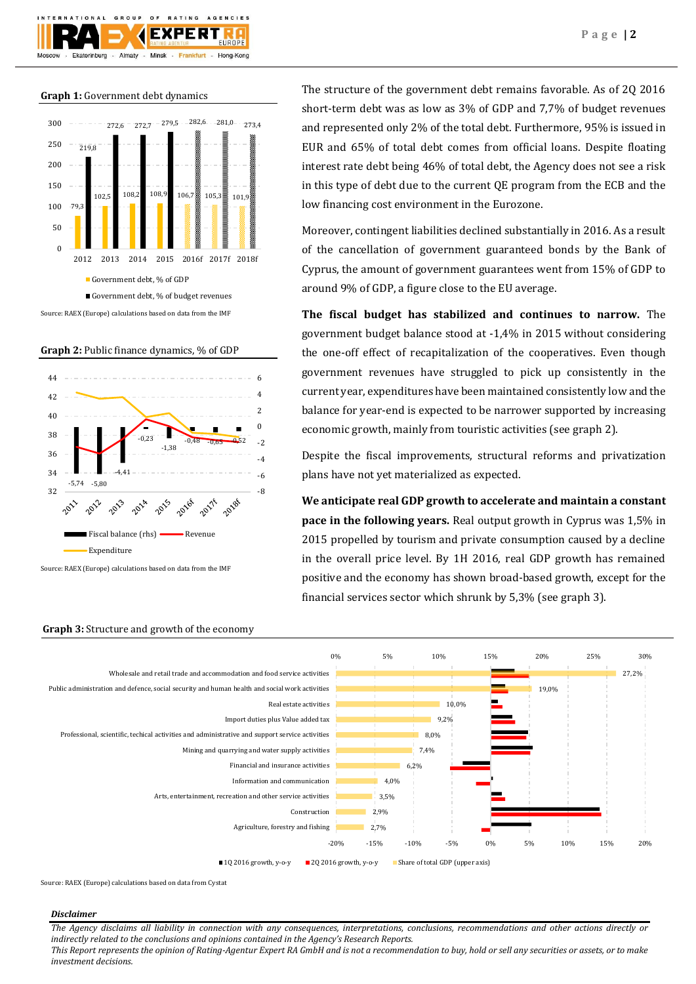

**Graph 1:** Government debt dynamics







Source: RAEX (Europe) calculations based on data from the IMF

The structure of the government debt remains favorable. As of 2Q 2016 short-term debt was as low as 3% of GDP and 7,7% of budget revenues and represented only 2% of the total debt. Furthermore, 95% is issued in EUR and 65% of total debt comes from official loans. Despite floating interest rate debt being 46% of total debt, the Agency does not see a risk in this type of debt due to the current QE program from the ECB and the low financing cost environment in the Eurozone.

Moreover, contingent liabilities declined substantially in 2016. As a result of the cancellation of government guaranteed bonds by the Bank of Cyprus, the amount of government guarantees went from 15% of GDP to around 9% of GDP, a figure close to the EU average.

**The fiscal budget has stabilized and continues to narrow.** The government budget balance stood at -1,4% in 2015 without considering the one-off effect of recapitalization of the cooperatives. Even though government revenues have struggled to pick up consistently in the current year, expenditures have been maintained consistently low and the balance for year-end is expected to be narrower supported by increasing economic growth, mainly from touristic activities (see graph 2).

Despite the fiscal improvements, structural reforms and privatization plans have not yet materialized as expected.

**We anticipate real GDP growth to accelerate and maintain a constant pace in the following years.** Real output growth in Cyprus was 1,5% in 2015 propelled by tourism and private consumption caused by a decline in the overall price level. By 1H 2016, real GDP growth has remained positive and the economy has shown broad-based growth, except for the financial services sector which shrunk by 5,3% (see graph 3).



**Graph 3:** Structure and growth of the economy

Source: RAEX (Europe) calculations based on data from Cystat

## *Disclaimer*

*The Agency disclaims all liability in connection with any consequences, interpretations, conclusions, recommendations and other actions directly or indirectly related to the conclusions and opinions contained in the Agency's Research Reports.*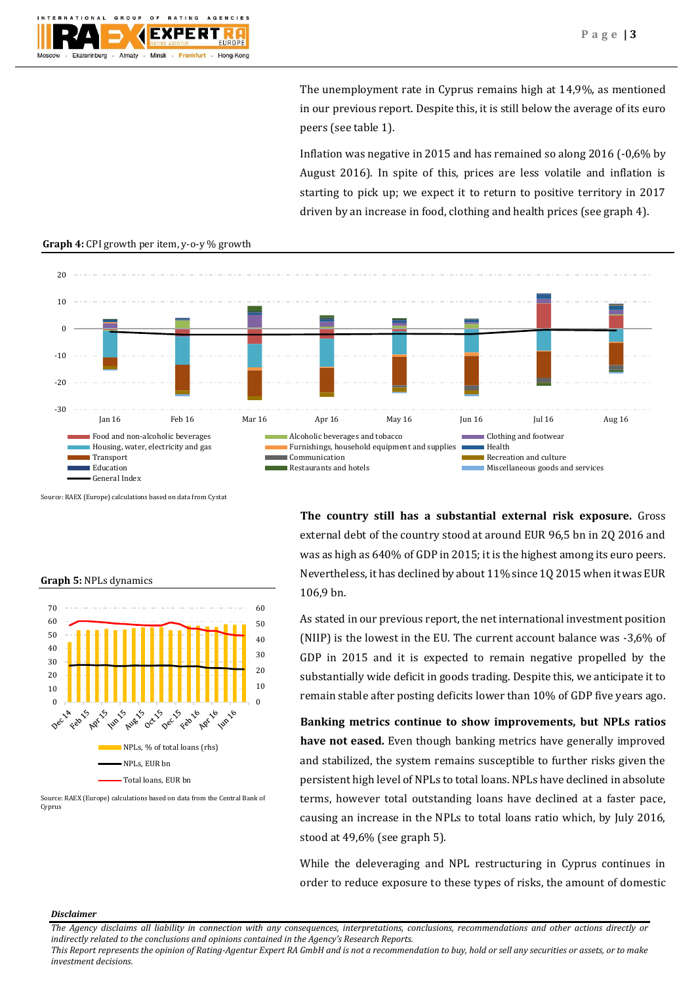The unemployment rate in Cyprus remains high at 14,9%, as mentioned in our previous report. Despite this, it is still below the average of its euro peers (see table 1).

Inflation was negative in 2015 and has remained so along 2016 (-0,6% by August 2016). In spite of this, prices are less volatile and inflation is starting to pick up; we expect it to return to positive territory in 2017 driven by an increase in food, clothing and health prices (see graph 4).



**Graph 4:** CPI growth per item, y-o-y % growth

Source: RAEX (Europe) calculations based on data from Cystat

**Graph 5:** NPLs dynamics



Source: RAEX (Europe) calculations based on data from the Central Bank of Cyprus

**The country still has a substantial external risk exposure.** Gross external debt of the country stood at around EUR 96,5 bn in 2Q 2016 and was as high as 640% of GDP in 2015; it is the highest among its euro peers. Nevertheless, it has declined by about 11% since 1Q 2015 when it was EUR 106,9 bn.

As stated in our previous report, the net international investment position (NIIP) is the lowest in the EU. The current account balance was -3,6% of GDP in 2015 and it is expected to remain negative propelled by the substantially wide deficit in goods trading. Despite this, we anticipate it to remain stable after posting deficits lower than 10% of GDP five years ago.

**Banking metrics continue to show improvements, but NPLs ratios have not eased.** Even though banking metrics have generally improved and stabilized, the system remains susceptible to further risks given the persistent high level of NPLs to total loans. NPLs have declined in absolute terms, however total outstanding loans have declined at a faster pace, causing an increase in the NPLs to total loans ratio which, by July 2016, stood at 49,6% (see graph 5).

While the deleveraging and NPL restructuring in Cyprus continues in order to reduce exposure to these types of risks, the amount of domestic

#### *Disclaimer*

*The Agency disclaims all liability in connection with any consequences, interpretations, conclusions, recommendations and other actions directly or indirectly related to the conclusions and opinions contained in the Agency's Research Reports.*